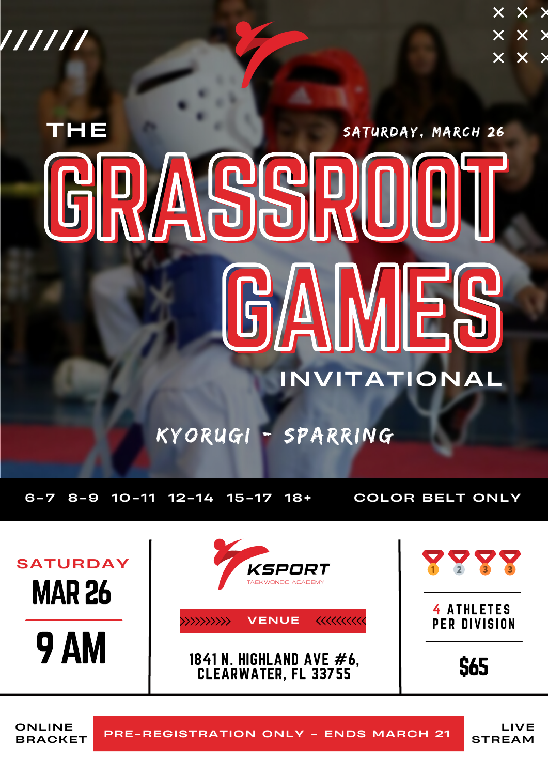//////

 $\times$   $\times$   $\times$  $\times$   $\times$   $\times$  $\times$   $\times$   $\times$ 

# **THE** GRASSROOT GAMES SATURDAY, MARCH 26 INVITATIONAL

# KYORUGI - SPARRING

6-7 8-9 10-11 12-14 15-17 18+ COLOR BELT ONLY



BRACKET

ONLINE PRE-REGISTRATION ONLY - ENDS MARCH 21

LIVE STREAM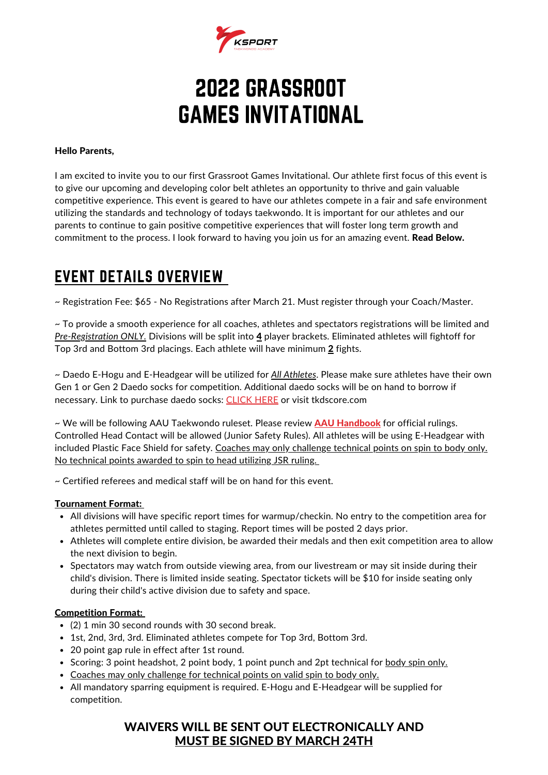

# 2022 GRASSROOT GAMES INVITATIONAL

#### Hello Parents,

I am excited to invite you to our first Grassroot Games Invitational. Our athlete first focus of this event is to give our upcoming and developing color belt athletes an opportunity to thrive and gain valuable competitive experience. This event is geared to have our athletes compete in a fair and safe environment utilizing the standards and technology of todays taekwondo. It is important for our athletes and our parents to continue to gain positive competitive experiences that will foster long term growth and commitment to the process. I look forward to having you join us for an amazing event. Read Below.

### EVENT DETAILS OVERVIEW

~ Registration Fee: \$65 - No Registrations after March 21. Must register through your Coach/Master.

~ To provide a smooth experience for all coaches, athletes and spectators registrations will be limited and *Pre-Registration ONLY.* Divisions will be split into 4 player brackets. Eliminated athletes will fightoff for Top 3rd and Bottom 3rd placings. Each athlete will have minimum 2 fights.

~ Daedo E-Hogu and E-Headgear will be utilized for *All Athletes*. Please make sure athletes have their own Gen 1 or Gen 2 Daedo socks for competition. Additional daedo socks will be on hand to borrow if necessary. Link to purchase daedo socks: [CLICK](https://www.tkdscore.com/26.html) HERE or visit tkdscore.com

~ We will be following AAU Taekwondo ruleset. Please review **AAU [Handbook](https://image.aausports.org/dnn/tw/2021/2020-2021AAUTKDHandbook.pdf)** for official rulings. Controlled Head Contact will be allowed (Junior Safety Rules). All athletes will be using E-Headgear with included Plastic Face Shield for safety. Coaches may only challenge technical points on spin to body only. No technical points awarded to spin to head utilizing JSR ruling.

~ Certified referees and medical staff will be on hand for this event.

#### Tournament Format:

- All divisions will have specific report times for warmup/checkin. No entry to the competition area for athletes permitted until called to staging. Report times will be posted 2 days prior.
- Athletes will complete entire division, be awarded their medals and then exit competition area to allow the next division to begin.
- Spectators may watch from outside viewing area, from our livestream or may sit inside during their child's division. There is limited inside seating. Spectator tickets will be \$10 for inside seating only during their child's active division due to safety and space.

#### Competition Format:

- (2) 1 min 30 second rounds with 30 second break.
- 1st, 2nd, 3rd, 3rd. Eliminated athletes compete for Top 3rd, Bottom 3rd.
- 20 point gap rule in effect after 1st round.
- Scoring: 3 point headshot, 2 point body, 1 point punch and 2pt technical for body spin only.
- Coaches may only challenge for technical points on valid spin to body only.
- All mandatory sparring equipment is required. E-Hogu and E-Headgear will be supplied for competition.

#### WAIVERS WILL BE SENT OUT ELECTRONICALLY AND MUST BE SIGNED BY MARCH 24TH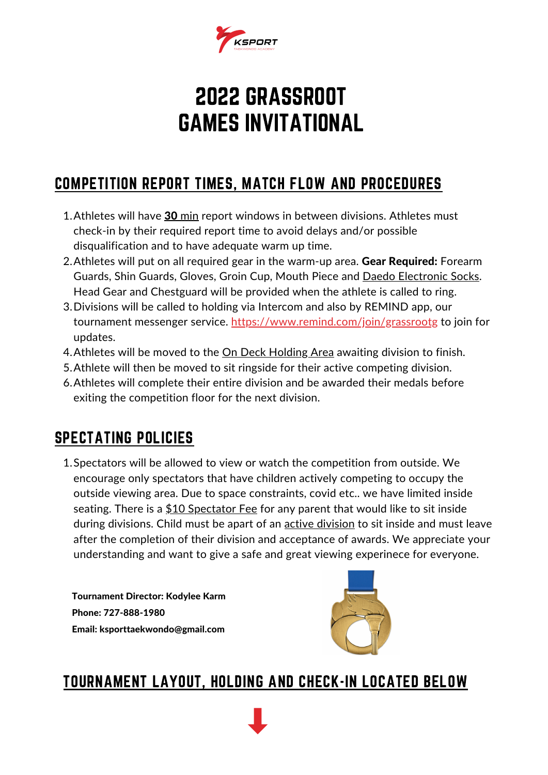

# 2022 GRASSROOT GAMES INVITATIONAL

## COMPETITION REPORT TIMES, MATCH FLOW AND PROCEDURES

- 1. Athletes will have 30 min report windows in between divisions. Athletes must check-in by their required report time to avoid delays and/or possible disqualification and to have adequate warm up time.
- 2. Athletes will put on all required gear in the warm-up area. Gear Required: Forearm Guards, Shin Guards, Gloves, Groin Cup, Mouth Piece and Daedo Electronic Socks. Head Gear and Chestguard will be provided when the athlete is called to ring.
- 3. Divisions will be called to holding via Intercom and also by REMIND app, our tournament messenger service. <https://www.remind.com/join/grassrootg> to join for updates.
- 4. Athletes will be moved to the <u>On Deck Holding Area</u> awaiting division to finish.
- 5. Athlete will then be moved to sit ringside for their active competing division.
- Athletes will complete their entire division and be awarded their medals before 6. exiting the competition floor for the next division.

## SPECTATING POLICIES

1. Spectators will be allowed to view or watch the competition from outside. We encourage only spectators that have children actively competing to occupy the outside viewing area. Due to space constraints, covid etc.. we have limited inside seating. There is a \$10 Spectator Fee for any parent that would like to sit inside during divisions. Child must be apart of an **active division** to sit inside and must leave after the completion of their division and acceptance of awards. We appreciate your understanding and want to give a safe and great viewing experinece for everyone.

Tournament Director: Kodylee Karm Phone: 727-888-1980 Email: ksporttaekwondo@gmail.com



## TOURNAMENT LAYOUT, HOLDING AND CHECK-IN LOCATED BELOW